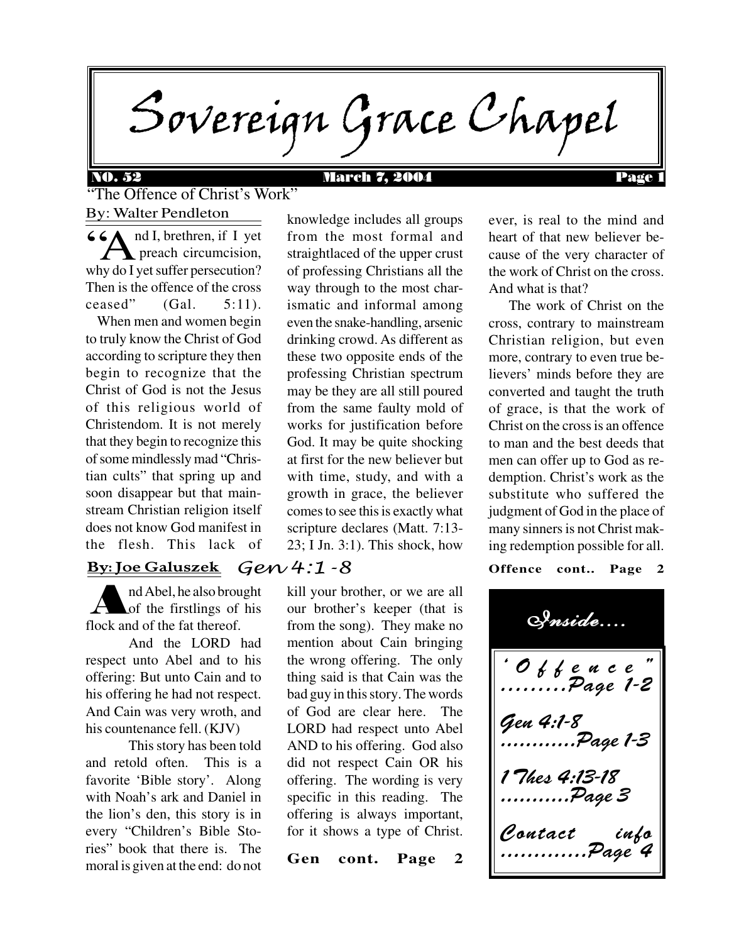Sovereign Grace Chapel

### NO. 52 March 7, 2004 Page 1

By: Walter Pendleton "The Offence of Christ's Work"

 $\overline{G}$   $\overline{G}$   $\overline{G}$   $\overline{G}$   $\overline{G}$   $\overline{G}$   $\overline{G}$   $\overline{G}$   $\overline{G}$   $\overline{G}$   $\overline{G}$   $\overline{G}$   $\overline{G}$   $\overline{G}$   $\overline{G}$   $\overline{G}$   $\overline{G}$   $\overline{G}$   $\overline{G}$   $\overline{G}$   $\overline{G}$   $\overline{G}$   $\overline{G}$   $\overline{G}$   $\overline{$  preach circumcision, why do I yet suffer persecution? Then is the offence of the cross ceased"  $(Gal. 5:11)$ .

 When men and women begin to truly know the Christ of God according to scripture they then begin to recognize that the Christ of God is not the Jesus of this religious world of Christendom. It is not merely that they begin to recognize this of some mindlessly mad "Christian cults" that spring up and soon disappear but that mainstream Christian religion itself does not know God manifest in the flesh. This lack of

#### Gen 4:1-8 By: Joe Galuszek

A nd Abel, he also brought of the firstlings of his flock and of the fat thereof.

And the LORD had respect unto Abel and to his offering: But unto Cain and to his offering he had not respect. And Cain was very wroth, and his countenance fell. (KJV)

This story has been told and retold often. This is a favorite 'Bible story'. Along with Noah's ark and Daniel in the lion's den, this story is in every "Children's Bible Stories" book that there is. The moral is given at the end: do not knowledge includes all groups from the most formal and straightlaced of the upper crust of professing Christians all the way through to the most charismatic and informal among even the snake-handling, arsenic drinking crowd. As different as these two opposite ends of the professing Christian spectrum may be they are all still poured from the same faulty mold of works for justification before God. It may be quite shocking at first for the new believer but with time, study, and with a growth in grace, the believer comes to see this is exactly what scripture declares (Matt. 7:13- 23; I Jn. 3:1). This shock, how

kill your brother, or we are all our brother's keeper (that is from the song). They make no mention about Cain bringing the wrong offering. The only thing said is that Cain was the bad guy in this story. The words of God are clear here. The LORD had respect unto Abel AND to his offering. God also did not respect Cain OR his offering. The wording is very specific in this reading. The offering is always important, for it shows a type of Christ.

**Gen cont. Page 2**

ever, is real to the mind and heart of that new believer because of the very character of the work of Christ on the cross. And what is that?

 The work of Christ on the cross, contrary to mainstream Christian religion, but even more, contrary to even true believers' minds before they are converted and taught the truth of grace, is that the work of Christ on the cross is an offence to man and the best deeds that men can offer up to God as redemption. Christ's work as the substitute who suffered the judgment of God in the place of many sinners is not Christ making redemption possible for all.

#### **Offence cont.. Page 2**

ëOffenceî .........Page 1-2 Gen 4:1-8 ....Page 1-3 1 Thes 4:13-...........Page 3 Contact info .............Page 4 Inside....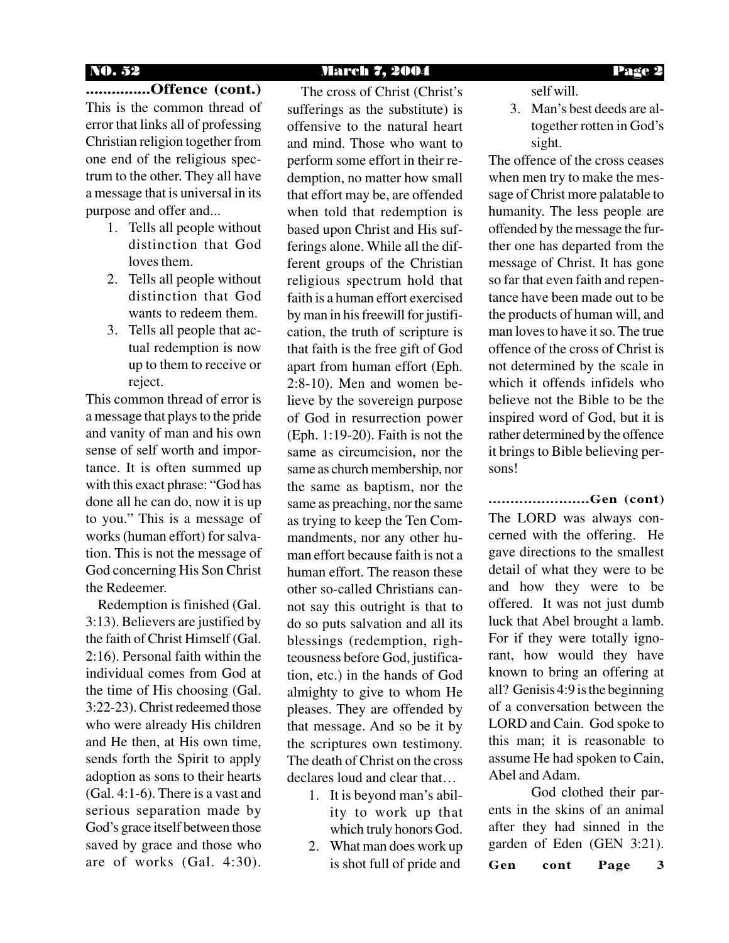### NO. 52 March 7, 2004 Page 2

## **...............Offence (cont.)** This is the common thread of

error that links all of professing Christian religion together from one end of the religious spectrum to the other. They all have a message that is universal in its purpose and offer and...

- 1. Tells all people without distinction that God loves them.
- 2. Tells all people without distinction that God wants to redeem them.
- 3. Tells all people that actual redemption is now up to them to receive or reject.

This common thread of error is a message that plays to the pride and vanity of man and his own sense of self worth and importance. It is often summed up with this exact phrase: "God has done all he can do, now it is up to you." This is a message of works (human effort) for salvation. This is not the message of God concerning His Son Christ the Redeemer.

 Redemption is finished (Gal. 3:13). Believers are justified by the faith of Christ Himself (Gal. 2:16). Personal faith within the individual comes from God at the time of His choosing (Gal. 3:22-23). Christ redeemed those who were already His children and He then, at His own time, sends forth the Spirit to apply adoption as sons to their hearts (Gal. 4:1-6). There is a vast and serious separation made by God's grace itself between those saved by grace and those who are of works (Gal. 4:30).

 The cross of Christ (Christ's sufferings as the substitute) is offensive to the natural heart and mind. Those who want to perform some effort in their redemption, no matter how small that effort may be, are offended when told that redemption is based upon Christ and His sufferings alone. While all the different groups of the Christian religious spectrum hold that faith is a human effort exercised by man in his freewill for justification, the truth of scripture is that faith is the free gift of God apart from human effort (Eph. 2:8-10). Men and women believe by the sovereign purpose of God in resurrection power (Eph. 1:19-20). Faith is not the same as circumcision, nor the same as church membership, nor the same as baptism, nor the same as preaching, nor the same as trying to keep the Ten Commandments, nor any other human effort because faith is not a human effort. The reason these other so-called Christians cannot say this outright is that to do so puts salvation and all its blessings (redemption, righteousness before God, justification, etc.) in the hands of God almighty to give to whom He pleases. They are offended by that message. And so be it by the scriptures own testimony. The death of Christ on the cross declares loud and clear that…

- 1. It is beyond man's ability to work up that which truly honors God.
- 2. What man does work up is shot full of pride and **Gen cont Page 3**

self will.

3. Man's best deeds are altogether rotten in God's sight.

The offence of the cross ceases when men try to make the message of Christ more palatable to humanity. The less people are offended by the message the further one has departed from the message of Christ. It has gone so far that even faith and repentance have been made out to be the products of human will, and man loves to have it so. The true offence of the cross of Christ is not determined by the scale in which it offends infidels who believe not the Bible to be the inspired word of God, but it is rather determined by the offence it brings to Bible believing persons!

#### **.......................Gen (cont)**

The LORD was always concerned with the offering. He gave directions to the smallest detail of what they were to be and how they were to be offered. It was not just dumb luck that Abel brought a lamb. For if they were totally ignorant, how would they have known to bring an offering at all? Genisis 4:9 is the beginning of a conversation between the LORD and Cain. God spoke to this man; it is reasonable to assume He had spoken to Cain, Abel and Adam.

God clothed their parents in the skins of an animal after they had sinned in the garden of Eden (GEN 3:21).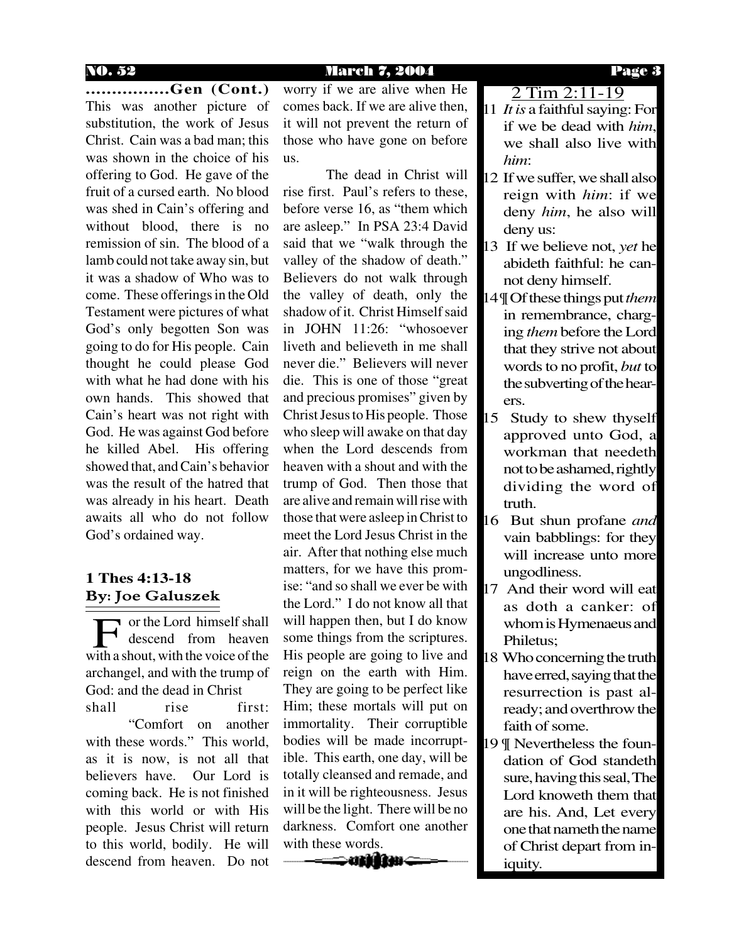#### NO. 52 March 7, 2004 Page 3

**................Gen (Cont.)** This was another picture of substitution, the work of Jesus Christ. Cain was a bad man; this was shown in the choice of his offering to God. He gave of the fruit of a cursed earth. No blood was shed in Cain's offering and without blood, there is no remission of sin. The blood of a lamb could not take away sin, but it was a shadow of Who was to come. These offerings in the Old Testament were pictures of what God's only begotten Son was going to do for His people. Cain thought he could please God with what he had done with his own hands. This showed that Cain's heart was not right with God. He was against God before he killed Abel. His offering showed that, and Cain's behavior was the result of the hatred that was already in his heart. Death awaits all who do not follow God's ordained way.

### By: Joe Galuszek **1 Thes 4:13-18**

or the Lord himself shall descend from heaven The U.S. or the Lord himself shall<br>with a shout, with the voice of the archangel, and with the trump of God: and the dead in Christ shall rise first: "Comfort on another with these words." This world, as it is now, is not all that believers have. Our Lord is coming back. He is not finished with this world or with His people. Jesus Christ will return to this world, bodily. He will descend from heaven. Do not worry if we are alive when He comes back. If we are alive then, it will not prevent the return of those who have gone on before us.

The dead in Christ will rise first. Paul's refers to these, before verse 16, as "them which are asleep." In PSA 23:4 David said that we "walk through the valley of the shadow of death." Believers do not walk through the valley of death, only the shadow of it. Christ Himself said in JOHN 11:26: "whosoever liveth and believeth in me shall never die." Believers will never die. This is one of those "great and precious promises" given by Christ Jesus to His people. Those who sleep will awake on that day when the Lord descends from heaven with a shout and with the trump of God. Then those that are alive and remain will rise with those that were asleep in Christ to meet the Lord Jesus Christ in the air. After that nothing else much matters, for we have this promise: "and so shall we ever be with the Lord." I do not know all that will happen then, but I do know some things from the scriptures. His people are going to live and reign on the earth with Him. They are going to be perfect like Him; these mortals will put on immortality. Their corruptible bodies will be made incorruptible. This earth, one day, will be totally cleansed and remade, and in it will be righteousness. Jesus will be the light. There will be no darkness. Comfort one another with these words.

11 *It is* a faithful saying: For 2 Tim 2:11-19

- if we be dead with *him*, we shall also live with *him*:
- 12 If we suffer, we shall also reign with *him*: if we deny *him*, he also will deny us:
- 13 If we believe not, *yet* he abideth faithful: he cannot deny himself.
- 14 ¶ Of these things put *them* in remembrance, charging *them* before the Lord that they strive not about words to no profit, *but* to the subverting of the hearers.
- 15 Study to shew thyself approved unto God, a workman that needeth not to be ashamed, rightly dividing the word of truth.
- 16 But shun profane *and* vain babblings: for they will increase unto more ungodliness.
- 17 And their word will eat as doth a canker: of whom is Hymenaeus and Philetus;
- 18 Who concerning the truth have erred, saying that the resurrection is past already; and overthrow the faith of some.
- 19 ¶ Nevertheless the foundation of God standeth sure, having this seal, The Lord knoweth them that are his. And, Let every one that nameth the name of Christ depart from iniquity.